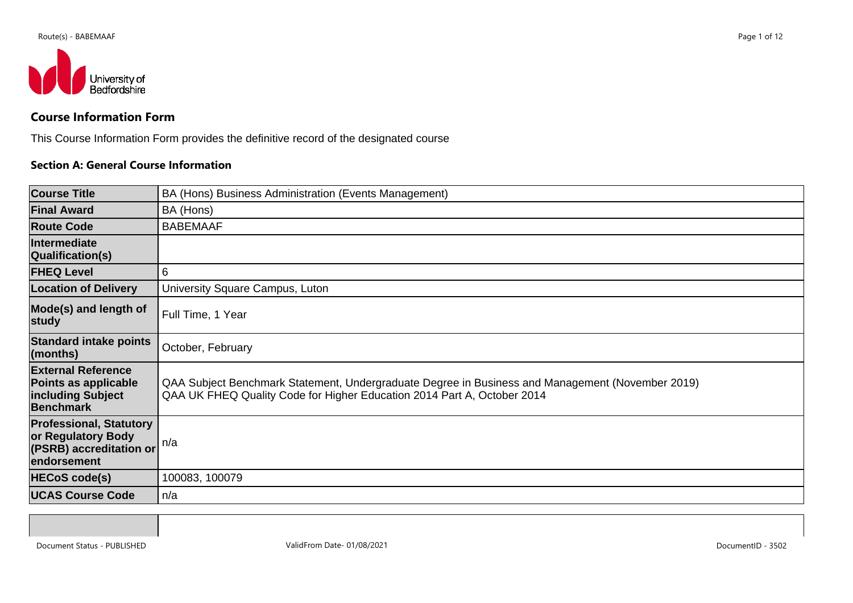

# **Course Information Form**

This Course Information Form provides the definitive record of the designated course

### **Section A: General Course Information**

| <b>Course Title</b>                                                                            | BA (Hons) Business Administration (Events Management)                                                                                                                       |
|------------------------------------------------------------------------------------------------|-----------------------------------------------------------------------------------------------------------------------------------------------------------------------------|
| <b>Final Award</b>                                                                             | BA (Hons)                                                                                                                                                                   |
| <b>Route Code</b>                                                                              | <b>BABEMAAF</b>                                                                                                                                                             |
| Intermediate<br>Qualification(s)                                                               |                                                                                                                                                                             |
| <b>FHEQ Level</b>                                                                              | 6                                                                                                                                                                           |
| <b>Location of Delivery</b>                                                                    | University Square Campus, Luton                                                                                                                                             |
| Mode(s) and length of<br>study                                                                 | Full Time, 1 Year                                                                                                                                                           |
| <b>Standard intake points</b><br>$ $ (months)                                                  | October, February                                                                                                                                                           |
| <b>External Reference</b><br>Points as applicable<br>including Subject<br><b>Benchmark</b>     | QAA Subject Benchmark Statement, Undergraduate Degree in Business and Management (November 2019)<br>QAA UK FHEQ Quality Code for Higher Education 2014 Part A, October 2014 |
| <b>Professional, Statutory</b><br>or Regulatory Body<br>(PSRB) accreditation or<br>endorsement | n/a                                                                                                                                                                         |
| <b>HECoS code(s)</b>                                                                           | 100083, 100079                                                                                                                                                              |
| <b>UCAS Course Code</b>                                                                        | n/a                                                                                                                                                                         |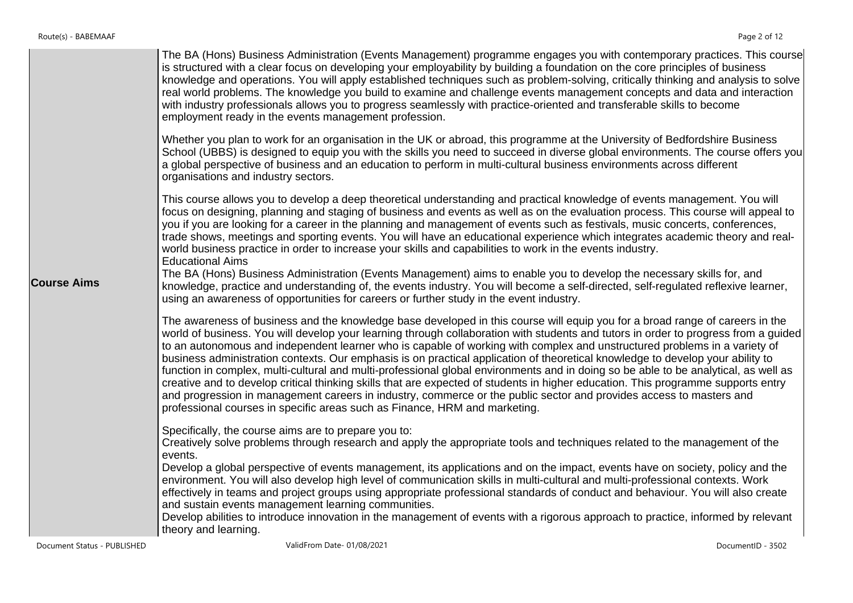|                             | The BA (Hons) Business Administration (Events Management) programme engages you with contemporary practices. This course<br>is structured with a clear focus on developing your employability by building a foundation on the core principles of business<br>knowledge and operations. You will apply established techniques such as problem-solving, critically thinking and analysis to solve<br>real world problems. The knowledge you build to examine and challenge events management concepts and data and interaction<br>with industry professionals allows you to progress seamlessly with practice-oriented and transferable skills to become<br>employment ready in the events management profession.                                                                                                                                                                                                                                                                                                     |
|-----------------------------|---------------------------------------------------------------------------------------------------------------------------------------------------------------------------------------------------------------------------------------------------------------------------------------------------------------------------------------------------------------------------------------------------------------------------------------------------------------------------------------------------------------------------------------------------------------------------------------------------------------------------------------------------------------------------------------------------------------------------------------------------------------------------------------------------------------------------------------------------------------------------------------------------------------------------------------------------------------------------------------------------------------------|
| <b>Course Aims</b>          | Whether you plan to work for an organisation in the UK or abroad, this programme at the University of Bedfordshire Business<br>School (UBBS) is designed to equip you with the skills you need to succeed in diverse global environments. The course offers you<br>a global perspective of business and an education to perform in multi-cultural business environments across different<br>organisations and industry sectors.                                                                                                                                                                                                                                                                                                                                                                                                                                                                                                                                                                                     |
|                             | This course allows you to develop a deep theoretical understanding and practical knowledge of events management. You will<br>focus on designing, planning and staging of business and events as well as on the evaluation process. This course will appeal to<br>you if you are looking for a career in the planning and management of events such as festivals, music concerts, conferences,<br>trade shows, meetings and sporting events. You will have an educational experience which integrates academic theory and real-<br>world business practice in order to increase your skills and capabilities to work in the events industry.<br><b>Educational Aims</b>                                                                                                                                                                                                                                                                                                                                              |
|                             | The BA (Hons) Business Administration (Events Management) aims to enable you to develop the necessary skills for, and<br>knowledge, practice and understanding of, the events industry. You will become a self-directed, self-regulated reflexive learner,<br>using an awareness of opportunities for careers or further study in the event industry.                                                                                                                                                                                                                                                                                                                                                                                                                                                                                                                                                                                                                                                               |
|                             | The awareness of business and the knowledge base developed in this course will equip you for a broad range of careers in the<br>world of business. You will develop your learning through collaboration with students and tutors in order to progress from a guided<br>to an autonomous and independent learner who is capable of working with complex and unstructured problems in a variety of<br>business administration contexts. Our emphasis is on practical application of theoretical knowledge to develop your ability to<br>function in complex, multi-cultural and multi-professional global environments and in doing so be able to be analytical, as well as<br>creative and to develop critical thinking skills that are expected of students in higher education. This programme supports entry<br>and progression in management careers in industry, commerce or the public sector and provides access to masters and<br>professional courses in specific areas such as Finance, HRM and marketing. |
|                             | Specifically, the course aims are to prepare you to:<br>Creatively solve problems through research and apply the appropriate tools and techniques related to the management of the<br>events.<br>Develop a global perspective of events management, its applications and on the impact, events have on society, policy and the<br>environment. You will also develop high level of communication skills in multi-cultural and multi-professional contexts. Work<br>effectively in teams and project groups using appropriate professional standards of conduct and behaviour. You will also create<br>and sustain events management learning communities.<br>Develop abilities to introduce innovation in the management of events with a rigorous approach to practice, informed by relevant                                                                                                                                                                                                                       |
|                             | theory and learning.                                                                                                                                                                                                                                                                                                                                                                                                                                                                                                                                                                                                                                                                                                                                                                                                                                                                                                                                                                                                |
| Document Status - PUBLISHED | ValidFrom Date- 01/08/2021<br>DocumentID - 3502                                                                                                                                                                                                                                                                                                                                                                                                                                                                                                                                                                                                                                                                                                                                                                                                                                                                                                                                                                     |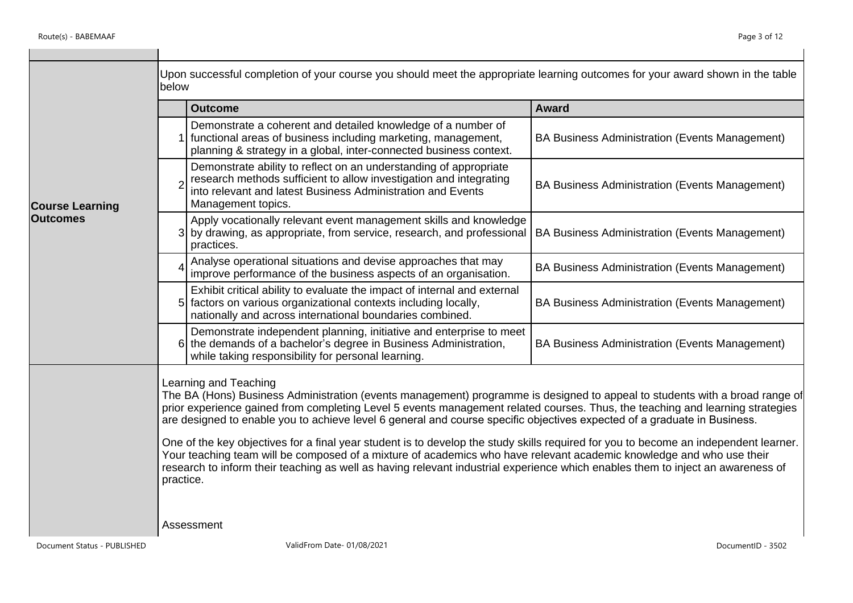|                                           | below                              | Upon successful completion of your course you should meet the appropriate learning outcomes for your award shown in the table                                                                                                                                                                                                                                                                                                                                                                                                                                                                                                                                                                                                                                                               |                                                       |  |  |  |  |
|-------------------------------------------|------------------------------------|---------------------------------------------------------------------------------------------------------------------------------------------------------------------------------------------------------------------------------------------------------------------------------------------------------------------------------------------------------------------------------------------------------------------------------------------------------------------------------------------------------------------------------------------------------------------------------------------------------------------------------------------------------------------------------------------------------------------------------------------------------------------------------------------|-------------------------------------------------------|--|--|--|--|
|                                           |                                    | <b>Outcome</b><br><b>Award</b>                                                                                                                                                                                                                                                                                                                                                                                                                                                                                                                                                                                                                                                                                                                                                              |                                                       |  |  |  |  |
|                                           |                                    | Demonstrate a coherent and detailed knowledge of a number of<br>functional areas of business including marketing, management,<br>planning & strategy in a global, inter-connected business context.                                                                                                                                                                                                                                                                                                                                                                                                                                                                                                                                                                                         | BA Business Administration (Events Management)        |  |  |  |  |
| <b>Course Learning</b><br><b>Outcomes</b> | $\mathcal{P}$                      | Demonstrate ability to reflect on an understanding of appropriate<br>research methods sufficient to allow investigation and integrating<br>into relevant and latest Business Administration and Events<br>Management topics.                                                                                                                                                                                                                                                                                                                                                                                                                                                                                                                                                                | BA Business Administration (Events Management)        |  |  |  |  |
|                                           | practices.                         | Apply vocationally relevant event management skills and knowledge<br>3 by drawing, as appropriate, from service, research, and professional                                                                                                                                                                                                                                                                                                                                                                                                                                                                                                                                                                                                                                                 | <b>BA Business Administration (Events Management)</b> |  |  |  |  |
|                                           |                                    | Analyse operational situations and devise approaches that may<br>improve performance of the business aspects of an organisation.                                                                                                                                                                                                                                                                                                                                                                                                                                                                                                                                                                                                                                                            | BA Business Administration (Events Management)        |  |  |  |  |
|                                           |                                    | Exhibit critical ability to evaluate the impact of internal and external<br>5 factors on various organizational contexts including locally,<br>nationally and across international boundaries combined.                                                                                                                                                                                                                                                                                                                                                                                                                                                                                                                                                                                     | BA Business Administration (Events Management)        |  |  |  |  |
|                                           |                                    | Demonstrate independent planning, initiative and enterprise to meet<br>6 the demands of a bachelor's degree in Business Administration,<br>while taking responsibility for personal learning.                                                                                                                                                                                                                                                                                                                                                                                                                                                                                                                                                                                               | BA Business Administration (Events Management)        |  |  |  |  |
|                                           | Learning and Teaching<br>practice. | The BA (Hons) Business Administration (events management) programme is designed to appeal to students with a broad range of<br>prior experience gained from completing Level 5 events management related courses. Thus, the teaching and learning strategies<br>are designed to enable you to achieve level 6 general and course specific objectives expected of a graduate in Business.<br>One of the key objectives for a final year student is to develop the study skills required for you to become an independent learner.<br>Your teaching team will be composed of a mixture of academics who have relevant academic knowledge and who use their<br>research to inform their teaching as well as having relevant industrial experience which enables them to inject an awareness of |                                                       |  |  |  |  |
|                                           | Assessment                         |                                                                                                                                                                                                                                                                                                                                                                                                                                                                                                                                                                                                                                                                                                                                                                                             |                                                       |  |  |  |  |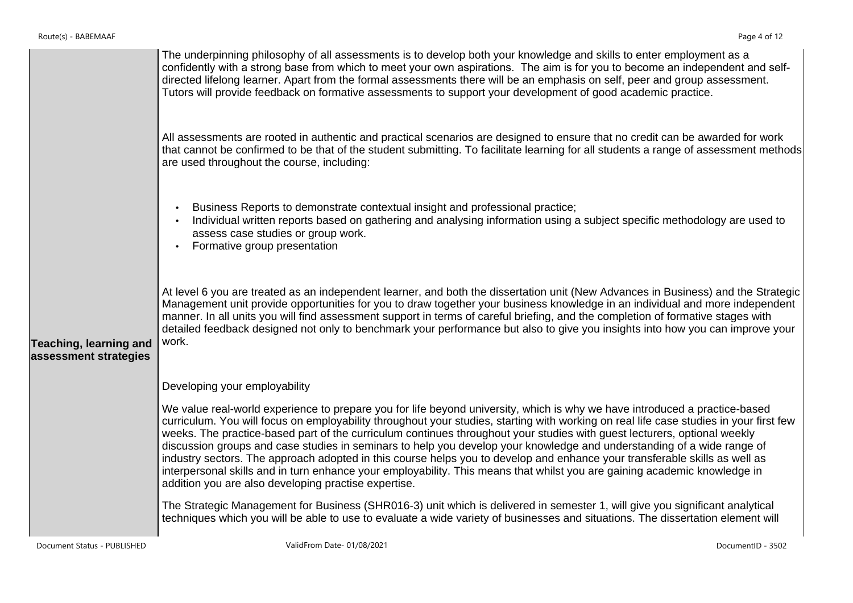|                                                 | The underpinning philosophy of all assessments is to develop both your knowledge and skills to enter employment as a<br>confidently with a strong base from which to meet your own aspirations. The aim is for you to become an independent and self-<br>directed lifelong learner. Apart from the formal assessments there will be an emphasis on self, peer and group assessment.<br>Tutors will provide feedback on formative assessments to support your development of good academic practice.                                                                                                                                                                                                                                                                                                                                           |
|-------------------------------------------------|-----------------------------------------------------------------------------------------------------------------------------------------------------------------------------------------------------------------------------------------------------------------------------------------------------------------------------------------------------------------------------------------------------------------------------------------------------------------------------------------------------------------------------------------------------------------------------------------------------------------------------------------------------------------------------------------------------------------------------------------------------------------------------------------------------------------------------------------------|
|                                                 | All assessments are rooted in authentic and practical scenarios are designed to ensure that no credit can be awarded for work<br>that cannot be confirmed to be that of the student submitting. To facilitate learning for all students a range of assessment methods<br>are used throughout the course, including:                                                                                                                                                                                                                                                                                                                                                                                                                                                                                                                           |
| Teaching, learning and<br>assessment strategies | Business Reports to demonstrate contextual insight and professional practice;<br>$\bullet$<br>Individual written reports based on gathering and analysing information using a subject specific methodology are used to<br>assess case studies or group work.<br>Formative group presentation                                                                                                                                                                                                                                                                                                                                                                                                                                                                                                                                                  |
|                                                 | At level 6 you are treated as an independent learner, and both the dissertation unit (New Advances in Business) and the Strategic<br>Management unit provide opportunities for you to draw together your business knowledge in an individual and more independent<br>manner. In all units you will find assessment support in terms of careful briefing, and the completion of formative stages with<br>detailed feedback designed not only to benchmark your performance but also to give you insights into how you can improve your<br>work.                                                                                                                                                                                                                                                                                                |
|                                                 | Developing your employability                                                                                                                                                                                                                                                                                                                                                                                                                                                                                                                                                                                                                                                                                                                                                                                                                 |
|                                                 | We value real-world experience to prepare you for life beyond university, which is why we have introduced a practice-based<br>curriculum. You will focus on employability throughout your studies, starting with working on real life case studies in your first few<br>weeks. The practice-based part of the curriculum continues throughout your studies with guest lecturers, optional weekly<br>discussion groups and case studies in seminars to help you develop your knowledge and understanding of a wide range of<br>industry sectors. The approach adopted in this course helps you to develop and enhance your transferable skills as well as<br>interpersonal skills and in turn enhance your employability. This means that whilst you are gaining academic knowledge in<br>addition you are also developing practise expertise. |
|                                                 | The Strategic Management for Business (SHR016-3) unit which is delivered in semester 1, will give you significant analytical<br>techniques which you will be able to use to evaluate a wide variety of businesses and situations. The dissertation element will                                                                                                                                                                                                                                                                                                                                                                                                                                                                                                                                                                               |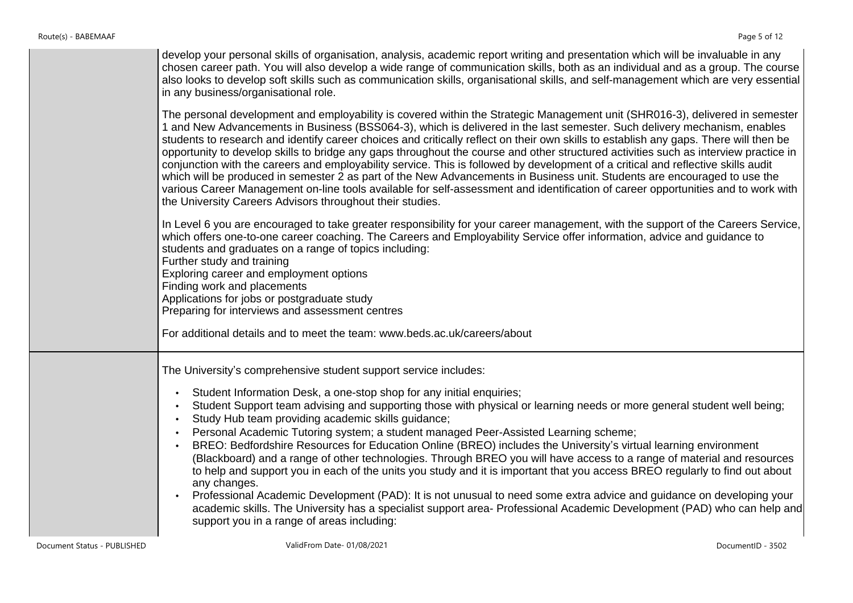| develop your personal skills of organisation, analysis, academic report writing and presentation which will be invaluable in any<br>chosen career path. You will also develop a wide range of communication skills, both as an individual and as a group. The course<br>also looks to develop soft skills such as communication skills, organisational skills, and self-management which are very essential<br>in any business/organisational role.                                                                                                                                                                                                                                                                                                                                                                                                                                                                                                                                                                                                                                                            |  |
|----------------------------------------------------------------------------------------------------------------------------------------------------------------------------------------------------------------------------------------------------------------------------------------------------------------------------------------------------------------------------------------------------------------------------------------------------------------------------------------------------------------------------------------------------------------------------------------------------------------------------------------------------------------------------------------------------------------------------------------------------------------------------------------------------------------------------------------------------------------------------------------------------------------------------------------------------------------------------------------------------------------------------------------------------------------------------------------------------------------|--|
| The personal development and employability is covered within the Strategic Management unit (SHR016-3), delivered in semester<br>1 and New Advancements in Business (BSS064-3), which is delivered in the last semester. Such delivery mechanism, enables<br>students to research and identify career choices and critically reflect on their own skills to establish any gaps. There will then be<br>opportunity to develop skills to bridge any gaps throughout the course and other structured activities such as interview practice in<br>conjunction with the careers and employability service. This is followed by development of a critical and reflective skills audit<br>which will be produced in semester 2 as part of the New Advancements in Business unit. Students are encouraged to use the<br>various Career Management on-line tools available for self-assessment and identification of career opportunities and to work with<br>the University Careers Advisors throughout their studies.                                                                                                  |  |
| In Level 6 you are encouraged to take greater responsibility for your career management, with the support of the Careers Service,<br>which offers one-to-one career coaching. The Careers and Employability Service offer information, advice and guidance to<br>students and graduates on a range of topics including:<br>Further study and training<br>Exploring career and employment options<br>Finding work and placements<br>Applications for jobs or postgraduate study<br>Preparing for interviews and assessment centres<br>For additional details and to meet the team: www.beds.ac.uk/careers/about                                                                                                                                                                                                                                                                                                                                                                                                                                                                                                 |  |
| The University's comprehensive student support service includes:<br>Student Information Desk, a one-stop shop for any initial enquiries;<br>Student Support team advising and supporting those with physical or learning needs or more general student well being;<br>Study Hub team providing academic skills guidance;<br>• Personal Academic Tutoring system; a student managed Peer-Assisted Learning scheme;<br>BREO: Bedfordshire Resources for Education Online (BREO) includes the University's virtual learning environment<br>(Blackboard) and a range of other technologies. Through BREO you will have access to a range of material and resources<br>to help and support you in each of the units you study and it is important that you access BREO regularly to find out about<br>any changes.<br>Professional Academic Development (PAD): It is not unusual to need some extra advice and guidance on developing your<br>academic skills. The University has a specialist support area- Professional Academic Development (PAD) who can help and<br>support you in a range of areas including: |  |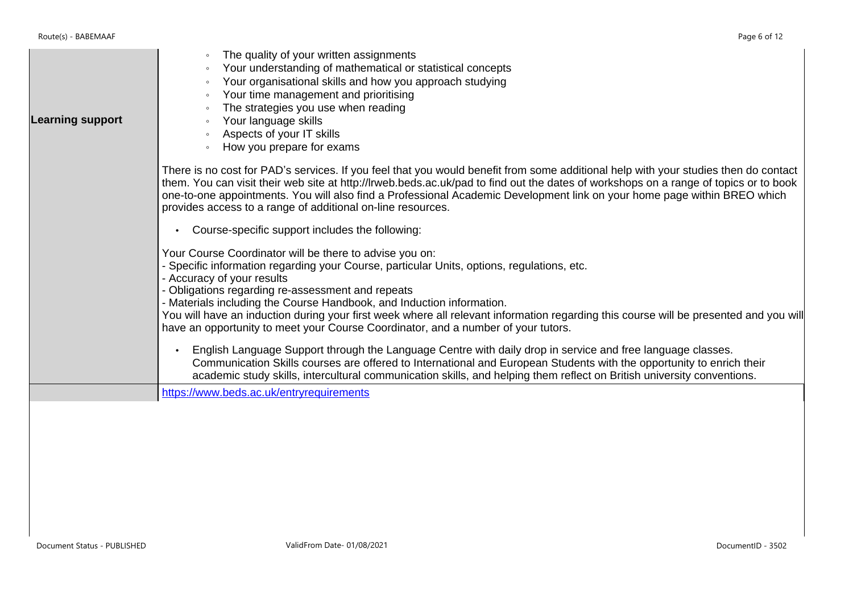### Route(s) - BABEMAAF Page 6 of 12 Page 6 of 12 Page 6 of 12 Page 6 of 12 Page 6 of 12 Page 8 of 12 Page 8 of 12

| <b>Learning support</b> | The quality of your written assignments<br>Your understanding of mathematical or statistical concepts<br>$\circ$<br>Your organisational skills and how you approach studying<br>$\circ$<br>Your time management and prioritising<br>$\circ$<br>The strategies you use when reading<br>$\circ$<br>Your language skills<br>$\circ$<br>Aspects of your IT skills<br>How you prepare for exams<br>$\circ$                                                                                                                                           |
|-------------------------|-------------------------------------------------------------------------------------------------------------------------------------------------------------------------------------------------------------------------------------------------------------------------------------------------------------------------------------------------------------------------------------------------------------------------------------------------------------------------------------------------------------------------------------------------|
|                         | There is no cost for PAD's services. If you feel that you would benefit from some additional help with your studies then do contact<br>them. You can visit their web site at http://lrweb.beds.ac.uk/pad to find out the dates of workshops on a range of topics or to book<br>one-to-one appointments. You will also find a Professional Academic Development link on your home page within BREO which<br>provides access to a range of additional on-line resources.                                                                          |
|                         | Course-specific support includes the following:                                                                                                                                                                                                                                                                                                                                                                                                                                                                                                 |
|                         | Your Course Coordinator will be there to advise you on:<br>- Specific information regarding your Course, particular Units, options, regulations, etc.<br>- Accuracy of your results<br>- Obligations regarding re-assessment and repeats<br>- Materials including the Course Handbook, and Induction information.<br>You will have an induction during your first week where all relevant information regarding this course will be presented and you will<br>have an opportunity to meet your Course Coordinator, and a number of your tutors. |
|                         | English Language Support through the Language Centre with daily drop in service and free language classes.<br>Communication Skills courses are offered to International and European Students with the opportunity to enrich their<br>academic study skills, intercultural communication skills, and helping them reflect on British university conventions.                                                                                                                                                                                    |
|                         | https://www.beds.ac.uk/entryrequirements                                                                                                                                                                                                                                                                                                                                                                                                                                                                                                        |
|                         |                                                                                                                                                                                                                                                                                                                                                                                                                                                                                                                                                 |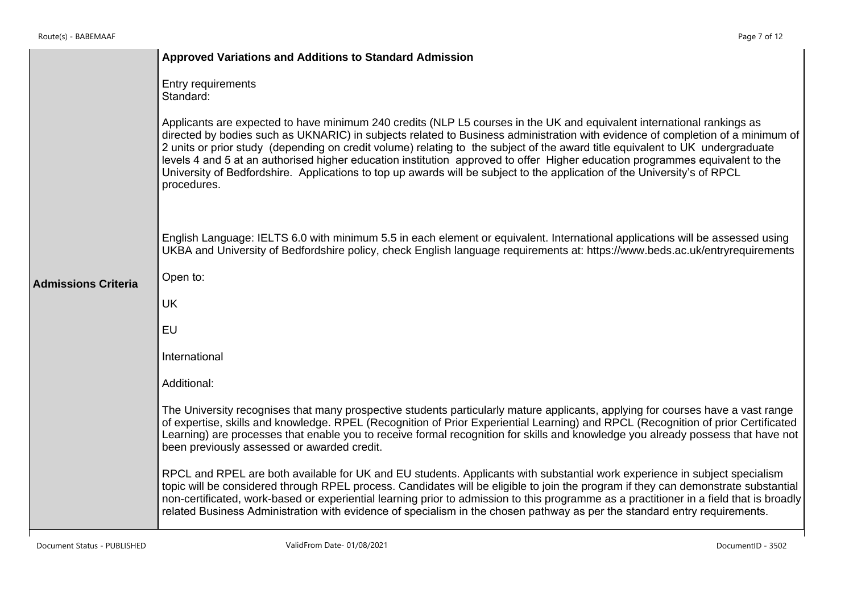|                            | <b>Approved Variations and Additions to Standard Admission</b>                                                                                                                                                                                                                                                                                                                                                                                                                                                                                                                                                                                                       |
|----------------------------|----------------------------------------------------------------------------------------------------------------------------------------------------------------------------------------------------------------------------------------------------------------------------------------------------------------------------------------------------------------------------------------------------------------------------------------------------------------------------------------------------------------------------------------------------------------------------------------------------------------------------------------------------------------------|
|                            | Entry requirements<br>Standard:                                                                                                                                                                                                                                                                                                                                                                                                                                                                                                                                                                                                                                      |
|                            | Applicants are expected to have minimum 240 credits (NLP L5 courses in the UK and equivalent international rankings as<br>directed by bodies such as UKNARIC) in subjects related to Business administration with evidence of completion of a minimum of<br>2 units or prior study (depending on credit volume) relating to the subject of the award title equivalent to UK undergraduate<br>levels 4 and 5 at an authorised higher education institution approved to offer Higher education programmes equivalent to the<br>University of Bedfordshire. Applications to top up awards will be subject to the application of the University's of RPCL<br>procedures. |
|                            | English Language: IELTS 6.0 with minimum 5.5 in each element or equivalent. International applications will be assessed using<br>UKBA and University of Bedfordshire policy, check English language requirements at: https://www.beds.ac.uk/entryrequirements                                                                                                                                                                                                                                                                                                                                                                                                        |
| <b>Admissions Criteria</b> | Open to:                                                                                                                                                                                                                                                                                                                                                                                                                                                                                                                                                                                                                                                             |
|                            | <b>UK</b>                                                                                                                                                                                                                                                                                                                                                                                                                                                                                                                                                                                                                                                            |
|                            | EU                                                                                                                                                                                                                                                                                                                                                                                                                                                                                                                                                                                                                                                                   |
|                            | International                                                                                                                                                                                                                                                                                                                                                                                                                                                                                                                                                                                                                                                        |
|                            | Additional:                                                                                                                                                                                                                                                                                                                                                                                                                                                                                                                                                                                                                                                          |
|                            | The University recognises that many prospective students particularly mature applicants, applying for courses have a vast range<br>of expertise, skills and knowledge. RPEL (Recognition of Prior Experiential Learning) and RPCL (Recognition of prior Certificated<br>Learning) are processes that enable you to receive formal recognition for skills and knowledge you already possess that have not<br>been previously assessed or awarded credit.                                                                                                                                                                                                              |
|                            | RPCL and RPEL are both available for UK and EU students. Applicants with substantial work experience in subject specialism<br>topic will be considered through RPEL process. Candidates will be eligible to join the program if they can demonstrate substantial<br>non-certificated, work-based or experiential learning prior to admission to this programme as a practitioner in a field that is broadly<br>related Business Administration with evidence of specialism in the chosen pathway as per the standard entry requirements.                                                                                                                             |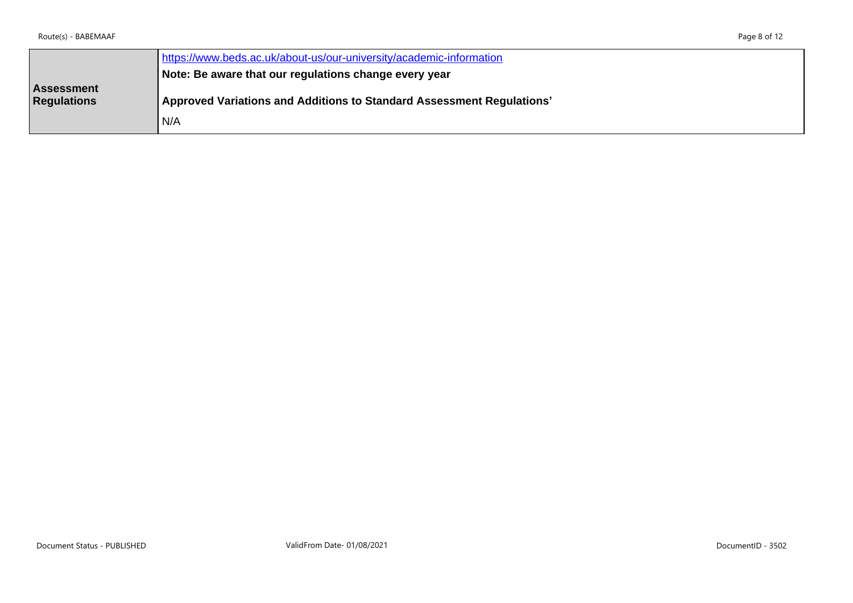|                                    | https://www.beds.ac.uk/about-us/our-university/academic-information          |
|------------------------------------|------------------------------------------------------------------------------|
|                                    | Note: Be aware that our regulations change every year                        |
| ∣ Assessment<br><b>Regulations</b> | Approved Variations and Additions to Standard Assessment Regulations'<br>N/A |
|                                    |                                                                              |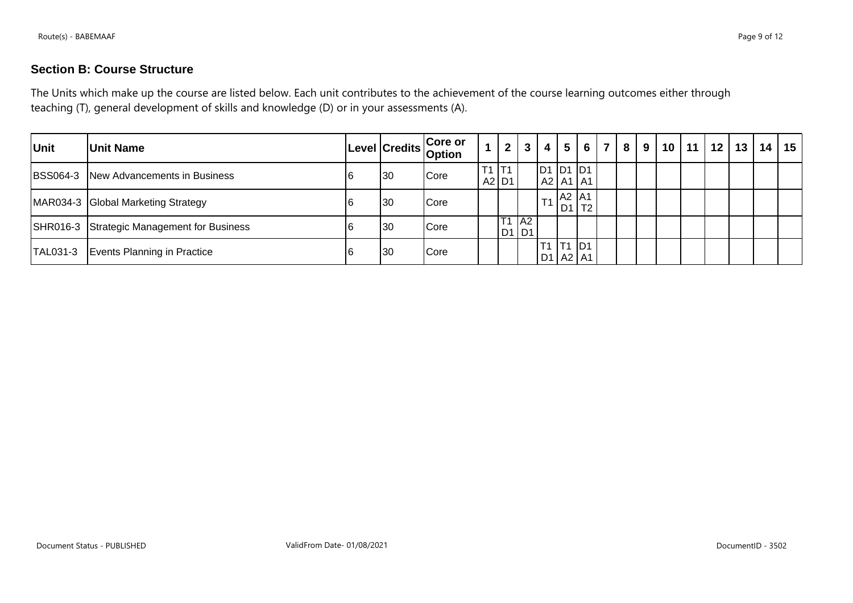## **Section B: Course Structure**

The Units which make up the course are listed below. Each unit contributes to the achievement of the course learning outcomes either through teaching (T), general development of skills and knowledge (D) or in your assessments (A).

| Unit     | Unit Name                                      |     | ILevel Credits our Designation |                | 2             | 3 <sup>1</sup> | $\vert$ 4 |                                   |                | 5 6 7 8 9 |  | 10 <sup>1</sup> | 11   12   13 |  | 14 | 15 |
|----------|------------------------------------------------|-----|--------------------------------|----------------|---------------|----------------|-----------|-----------------------------------|----------------|-----------|--|-----------------|--------------|--|----|----|
|          | <b>IBSS064-3 INew Advancements in Business</b> | 30  | <b>Core</b>                    | T <sub>1</sub> | T1<br>$A2$ D1 |                |           | <b>D1 D1 D1</b><br>$A2$ $A1$ $A1$ |                |           |  |                 |              |  |    |    |
|          | MAR034-3 Global Marketing Strategy             | 30  | <b>Core</b>                    |                |               |                | T1        | $A2$ $A1$<br>D1                   | T <sub>2</sub> |           |  |                 |              |  |    |    |
|          | SHR016-3 Strategic Management for Business     | 130 | ICore                          |                | T1            | A2 <br>$DI$ D1 |           |                                   |                |           |  |                 |              |  |    |    |
| TAL031-3 | <b>Events Planning in Practice</b>             | 30  | Core                           |                |               |                | T1        | <b>IT1 ID1</b><br>DI A2 A1        |                |           |  |                 |              |  |    |    |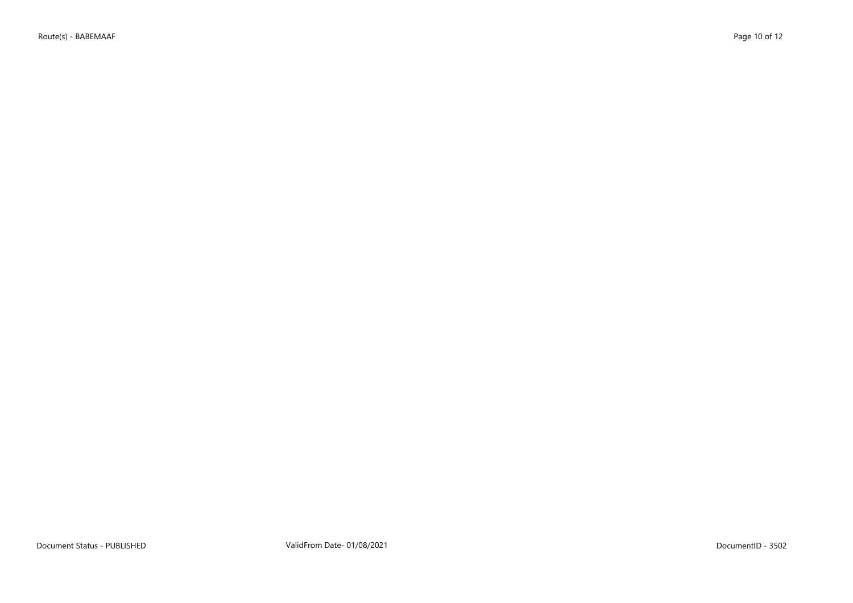Route(s) - BABEMAAF Page 10 of 12 Page 10 of 12 Page 10 of 12 Page 10 of 12 Page 10 of 12 Page 10 of 12 Page 10 of 12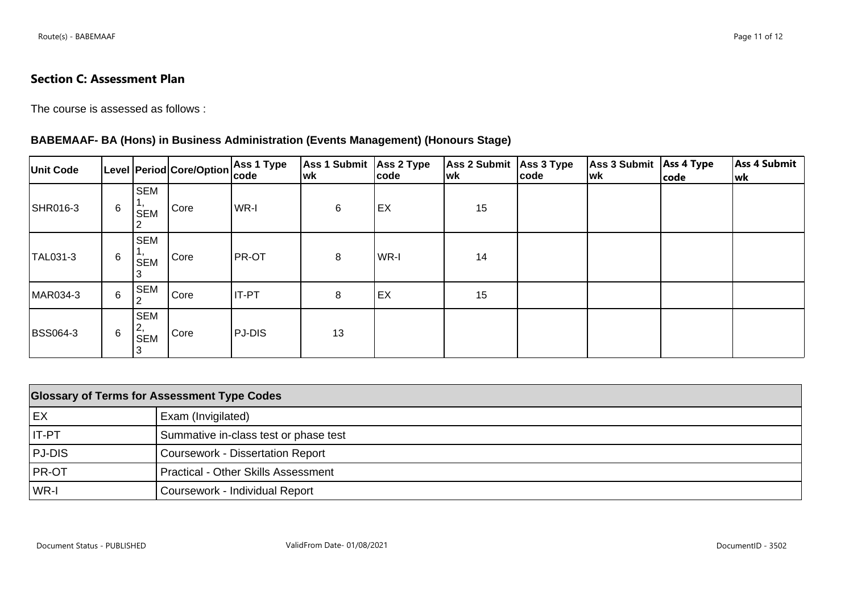### **Section C: Assessment Plan**

The course is assessed as follows :

### **BABEMAAF- BA (Hons) in Business Administration (Events Management) (Honours Stage)**

| <b>Unit Code</b> |                |                                     | Level Period Core/Option Ass 1 Type |               | Ass 1 Submit   Ass 2 Type<br>wk | <b>code</b> | Ass 2 Submit   Ass 3 Type<br>lwk | code | Ass 3 Submit   Ass 4 Type<br>wk | code | Ass 4 Submit<br> wk |
|------------------|----------------|-------------------------------------|-------------------------------------|---------------|---------------------------------|-------------|----------------------------------|------|---------------------------------|------|---------------------|
| SHR016-3         | 6              | <b>SEM</b><br><b>SEM</b><br>2       | Core                                | WR-I          | 6                               | EX          | 15                               |      |                                 |      |                     |
| TAL031-3         | 6              | <b>SEM</b><br><b>SEM</b><br>3       | Core                                | <b>PR-OT</b>  | 8                               | WR-I        | 14                               |      |                                 |      |                     |
| MAR034-3         | $6\phantom{1}$ | <b>SEM</b>                          | Core                                | IT-PT         | 8                               | EX          | 15                               |      |                                 |      |                     |
| <b>BSS064-3</b>  | 6              | <b>SEM</b><br>2,<br><b>SEM</b><br>3 | Core                                | <b>PJ-DIS</b> | 13                              |             |                                  |      |                                 |      |                     |

| <b>Glossary of Terms for Assessment Type Codes</b> |                                            |  |  |  |  |
|----------------------------------------------------|--------------------------------------------|--|--|--|--|
| 'EX                                                | Exam (Invigilated)                         |  |  |  |  |
| ∣ IT-PT                                            | Summative in-class test or phase test      |  |  |  |  |
| $ P$ J-DIS                                         | Coursework - Dissertation Report           |  |  |  |  |
| PR-OT                                              | <b>Practical - Other Skills Assessment</b> |  |  |  |  |
| WR-I                                               | Coursework - Individual Report             |  |  |  |  |